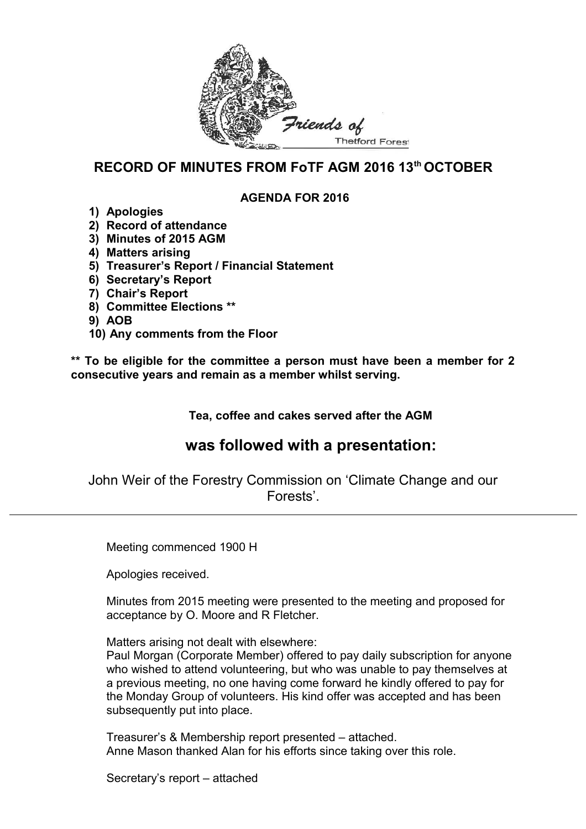

## **RECORD OF MINUTES FROM FoTF AGM 2016 13th OCTOBER**

#### **AGENDA FOR 2016**

- **1) Apologies**
- **2) Record of attendance**
- **3) Minutes of 2015 AGM**
- **4) Matters arising**
- **5) Treasurer's Report / Financial Statement**
- **6) Secretary's Report**
- **7) Chair's Report**
- **8) Committee Elections \*\***
- **9) AOB**
- **10) Any comments from the Floor**

**\*\* To be eligible for the committee a person must have been a member for 2 consecutive years and remain as a member whilst serving.**

**Tea, coffee and cakes served after the AGM**

# **was followed with a presentation:**

John Weir of the Forestry Commission on 'Climate Change and our Forests'.

Meeting commenced 1900 H

Apologies received.

Minutes from 2015 meeting were presented to the meeting and proposed for acceptance by O. Moore and R Fletcher.

Matters arising not dealt with elsewhere:

Paul Morgan (Corporate Member) offered to pay daily subscription for anyone who wished to attend volunteering, but who was unable to pay themselves at a previous meeting, no one having come forward he kindly offered to pay for the Monday Group of volunteers. His kind offer was accepted and has been subsequently put into place.

Treasurer's & Membership report presented – attached. Anne Mason thanked Alan for his efforts since taking over this role.

Secretary's report – attached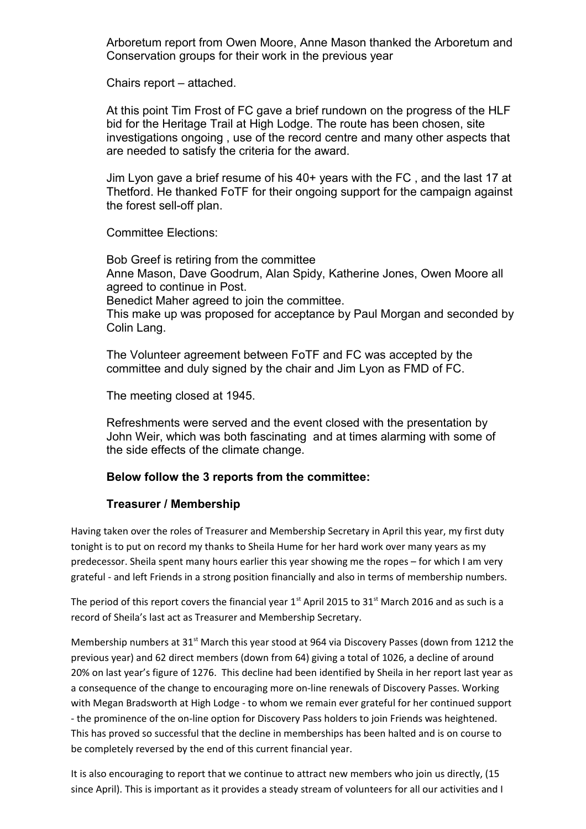Arboretum report from Owen Moore, Anne Mason thanked the Arboretum and Conservation groups for their work in the previous year

Chairs report – attached.

At this point Tim Frost of FC gave a brief rundown on the progress of the HLF bid for the Heritage Trail at High Lodge. The route has been chosen, site investigations ongoing , use of the record centre and many other aspects that are needed to satisfy the criteria for the award.

Jim Lyon gave a brief resume of his 40+ years with the FC , and the last 17 at Thetford. He thanked FoTF for their ongoing support for the campaign against the forest sell-off plan.

Committee Elections:

Bob Greef is retiring from the committee Anne Mason, Dave Goodrum, Alan Spidy, Katherine Jones, Owen Moore all agreed to continue in Post. Benedict Maher agreed to join the committee. This make up was proposed for acceptance by Paul Morgan and seconded by Colin Lang.

The Volunteer agreement between FoTF and FC was accepted by the committee and duly signed by the chair and Jim Lyon as FMD of FC.

The meeting closed at 1945.

Refreshments were served and the event closed with the presentation by John Weir, which was both fascinating and at times alarming with some of the side effects of the climate change.

#### **Below follow the 3 reports from the committee:**

#### **Treasurer / Membership**

Having taken over the roles of Treasurer and Membership Secretary in April this year, my first duty tonight is to put on record my thanks to Sheila Hume for her hard work over many years as my predecessor. Sheila spent many hours earlier this year showing me the ropes – for which I am very grateful - and left Friends in a strong position financially and also in terms of membership numbers.

The period of this report covers the financial year  $1<sup>st</sup>$  April 2015 to 31<sup>st</sup> March 2016 and as such is a record of Sheila's last act as Treasurer and Membership Secretary.

Membership numbers at 31<sup>st</sup> March this year stood at 964 via Discovery Passes (down from 1212 the previous year) and 62 direct members (down from 64) giving a total of 1026, a decline of around 20% on last year's figure of 1276. This decline had been identified by Sheila in her report last year as a consequence of the change to encouraging more on-line renewals of Discovery Passes. Working with Megan Bradsworth at High Lodge - to whom we remain ever grateful for her continued support - the prominence of the on-line option for Discovery Pass holders to join Friends was heightened. This has proved so successful that the decline in memberships has been halted and is on course to be completely reversed by the end of this current financial year.

It is also encouraging to report that we continue to attract new members who join us directly, (15 since April). This is important as it provides a steady stream of volunteers for all our activities and I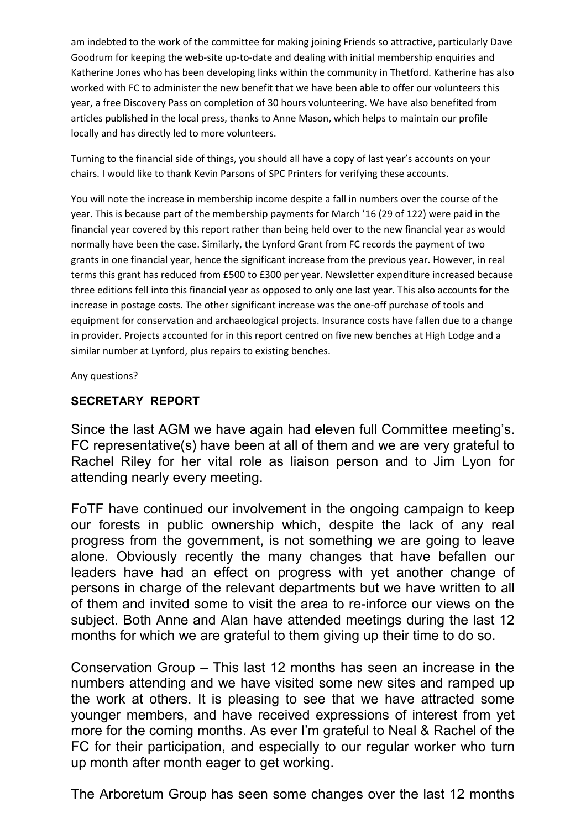am indebted to the work of the committee for making joining Friends so attractive, particularly Dave Goodrum for keeping the web-site up-to-date and dealing with initial membership enquiries and Katherine Jones who has been developing links within the community in Thetford. Katherine has also worked with FC to administer the new benefit that we have been able to offer our volunteers this year, a free Discovery Pass on completion of 30 hours volunteering. We have also benefited from articles published in the local press, thanks to Anne Mason, which helps to maintain our profile locally and has directly led to more volunteers.

Turning to the financial side of things, you should all have a copy of last year's accounts on your chairs. I would like to thank Kevin Parsons of SPC Printers for verifying these accounts.

You will note the increase in membership income despite a fall in numbers over the course of the year. This is because part of the membership payments for March '16 (29 of 122) were paid in the financial year covered by this report rather than being held over to the new financial year as would normally have been the case. Similarly, the Lynford Grant from FC records the payment of two grants in one financial year, hence the significant increase from the previous year. However, in real terms this grant has reduced from £500 to £300 per year. Newsletter expenditure increased because three editions fell into this financial year as opposed to only one last year. This also accounts for the increase in postage costs. The other significant increase was the one-off purchase of tools and equipment for conservation and archaeological projects. Insurance costs have fallen due to a change in provider. Projects accounted for in this report centred on five new benches at High Lodge and a similar number at Lynford, plus repairs to existing benches.

Any questions?

### **SECRETARY REPORT**

Since the last AGM we have again had eleven full Committee meeting's. FC representative(s) have been at all of them and we are very grateful to Rachel Riley for her vital role as liaison person and to Jim Lyon for attending nearly every meeting.

FoTF have continued our involvement in the ongoing campaign to keep our forests in public ownership which, despite the lack of any real progress from the government, is not something we are going to leave alone. Obviously recently the many changes that have befallen our leaders have had an effect on progress with yet another change of persons in charge of the relevant departments but we have written to all of them and invited some to visit the area to re-inforce our views on the subject. Both Anne and Alan have attended meetings during the last 12 months for which we are grateful to them giving up their time to do so.

Conservation Group – This last 12 months has seen an increase in the numbers attending and we have visited some new sites and ramped up the work at others. It is pleasing to see that we have attracted some younger members, and have received expressions of interest from yet more for the coming months. As ever I'm grateful to Neal & Rachel of the FC for their participation, and especially to our regular worker who turn up month after month eager to get working.

The Arboretum Group has seen some changes over the last 12 months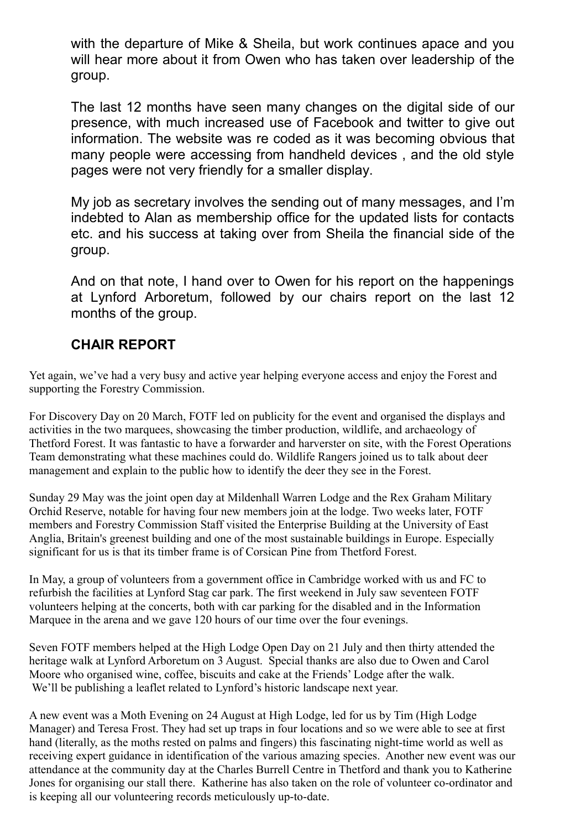with the departure of Mike & Sheila, but work continues apace and you will hear more about it from Owen who has taken over leadership of the group.

The last 12 months have seen many changes on the digital side of our presence, with much increased use of Facebook and twitter to give out information. The website was re coded as it was becoming obvious that many people were accessing from handheld devices , and the old style pages were not very friendly for a smaller display.

My job as secretary involves the sending out of many messages, and I'm indebted to Alan as membership office for the updated lists for contacts etc. and his success at taking over from Sheila the financial side of the group.

And on that note, I hand over to Owen for his report on the happenings at Lynford Arboretum, followed by our chairs report on the last 12 months of the group.

## **CHAIR REPORT**

Yet again, we've had a very busy and active year helping everyone access and enjoy the Forest and supporting the Forestry Commission.

For Discovery Day on 20 March, FOTF led on publicity for the event and organised the displays and activities in the two marquees, showcasing the timber production, wildlife, and archaeology of Thetford Forest. It was fantastic to have a forwarder and harverster on site, with the Forest Operations Team demonstrating what these machines could do. Wildlife Rangers joined us to talk about deer management and explain to the public how to identify the deer they see in the Forest.

Sunday 29 May was the joint open day at Mildenhall Warren Lodge and the Rex Graham Military Orchid Reserve, notable for having four new members join at the lodge. Two weeks later, FOTF members and Forestry Commission Staff visited the Enterprise Building at the University of East Anglia, Britain's greenest building and one of the most sustainable buildings in Europe. Especially significant for us is that its timber frame is of Corsican Pine from Thetford Forest.

In May, a group of volunteers from a government office in Cambridge worked with us and FC to refurbish the facilities at Lynford Stag car park. The first weekend in July saw seventeen FOTF volunteers helping at the concerts, both with car parking for the disabled and in the Information Marquee in the arena and we gave 120 hours of our time over the four evenings.

Seven FOTF members helped at the High Lodge Open Day on 21 July and then thirty attended the heritage walk at Lynford Arboretum on 3 August. Special thanks are also due to Owen and Carol Moore who organised wine, coffee, biscuits and cake at the Friends' Lodge after the walk. We'll be publishing a leaflet related to Lynford's historic landscape next year.

A new event was a Moth Evening on 24 August at High Lodge, led for us by Tim (High Lodge Manager) and Teresa Frost. They had set up traps in four locations and so we were able to see at first hand (literally, as the moths rested on palms and fingers) this fascinating night-time world as well as receiving expert guidance in identification of the various amazing species. Another new event was our attendance at the community day at the Charles Burrell Centre in Thetford and thank you to Katherine Jones for organising our stall there. Katherine has also taken on the role of volunteer co-ordinator and is keeping all our volunteering records meticulously up-to-date.